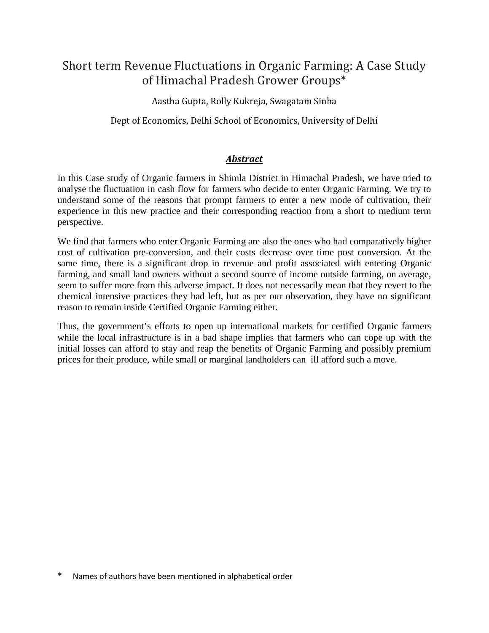# Short term Revenue Fluctuations in Organic Farming: A Case Study of Himachal Pradesh Grower Groups\*

Aastha Gupta, Rolly Kukreja, Swagatam Sinha

Dept of Economics, Delhi School of Economics, University of Delhi

### *Abstract*

In this Case study of Organic farmers in Shimla District in Himachal Pradesh, we have tried to analyse the fluctuation in cash flow for farmers who decide to enter Organic Farming. We try to understand some of the reasons that prompt farmers to enter a new mode of cultivation, their experience in this new practice and their corresponding reaction from a short to medium term perspective.

We find that farmers who enter Organic Farming are also the ones who had comparatively higher cost of cultivation pre-conversion, and their costs decrease over time post conversion. At the same time, there is a significant drop in revenue and profit associated with entering Organic farming, and small land owners without a second source of income outside farming, on average, seem to suffer more from this adverse impact. It does not necessarily mean that they revert to the chemical intensive practices they had left, but as per our observation, they have no significant reason to remain inside Certified Organic Farming either.

Thus, the government's efforts to open up international markets for certified Organic farmers while the local infrastructure is in a bad shape implies that farmers who can cope up with the initial losses can afford to stay and reap the benefits of Organic Farming and possibly premium prices for their produce, while small or marginal landholders can ill afford such a move.

Names of authors have been mentioned in alphabetical order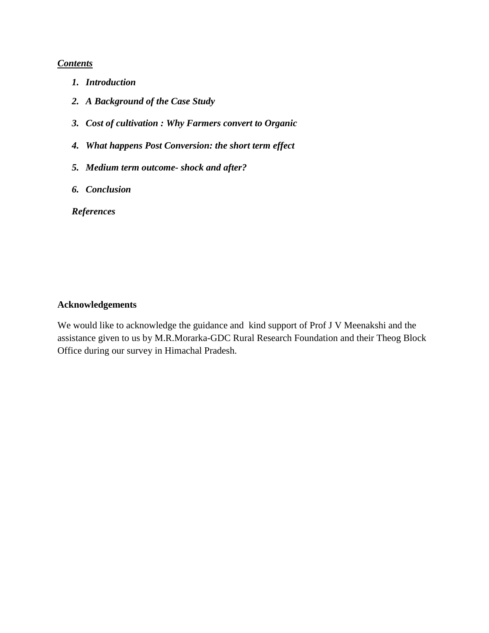### *Contents*

- *1. Introduction*
- *2. A Background of the Case Study*
- *3. Cost of cultivation : Why Farmers convert to Organic*
- *4. What happens Post Conversion: the short term effect*
- *5. Medium term outcome- shock and after?*
- *6. Conclusion*

*References*

### **Acknowledgements**

We would like to acknowledge the guidance and kind support of Prof J V Meenakshi and the assistance given to us by M.R.Morarka-GDC Rural Research Foundation and their Theog Block Office during our survey in Himachal Pradesh.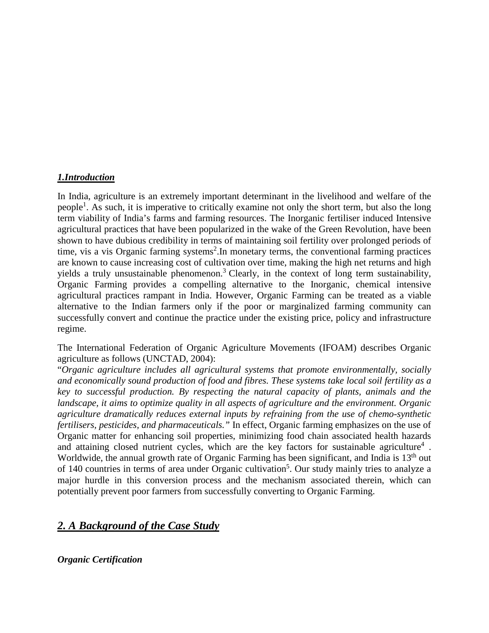### *1.Introduction*

In India, agriculture is an extremely important determinant in the livelihood and welfare of the people<sup>1</sup>. As such, it is imperative to critically examine not only the short term, but also the long term viability of India's farms and farming resources. The Inorganic fertiliser induced Intensive agricultural practices that have been popularized in the wake of the Green Revolution, have been shown to have dubious credibility in terms of maintaining soil fertility over prolonged periods of time, vis a vis Organic farming systems<sup>2</sup>. In monetary terms, the conventional farming practices are known to cause increasing cost of cultivation over time, making the high net returns and high yields a truly unsustainable phenomenon.<sup>3</sup> Clearly, in the context of long term sustainability, Organic Farming provides a compelling alternative to the Inorganic, chemical intensive agricultural practices rampant in India. However, Organic Farming can be treated as a viable alternative to the Indian farmers only if the poor or marginalized farming community can successfully convert and continue the practice under the existing price, policy and infrastructure regime.

The International Federation of Organic Agriculture Movements (IFOAM) describes Organic agriculture as follows (UNCTAD, 2004):

"*Organic agriculture includes all agricultural systems that promote environmentally, socially and economically sound production of food and fibres. These systems take local soil fertility as a key to successful production. By respecting the natural capacity of plants, animals and the landscape, it aims to optimize quality in all aspects of agriculture and the environment. Organic agriculture dramatically reduces external inputs by refraining from the use of chemo-synthetic fertilisers, pesticides, and pharmaceuticals."* In effect, Organic farming emphasizes on the use of Organic matter for enhancing soil properties, minimizing food chain associated health hazards and attaining closed nutrient cycles, which are the key factors for sustainable agriculture<sup>4</sup>. Worldwide, the annual growth rate of Organic Farming has been significant, and India is 13<sup>th</sup> out of 140 countries in terms of area under Organic cultivation<sup>5</sup>. Our study mainly tries to analyze a major hurdle in this conversion process and the mechanism associated therein, which can potentially prevent poor farmers from successfully converting to Organic Farming.

## *2. A Background of the Case Study*

*Organic Certification*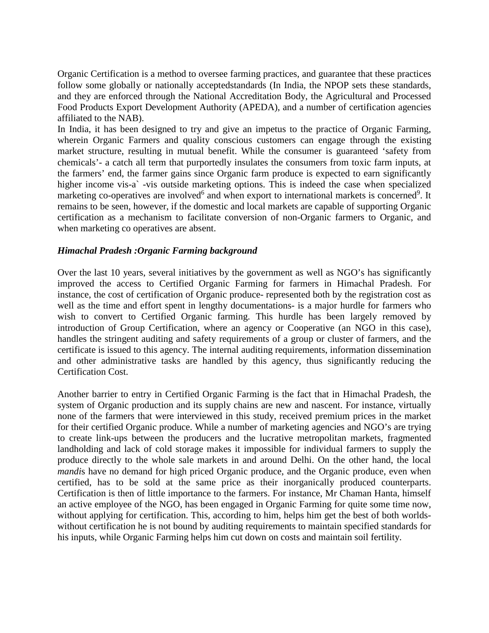Organic Certification is a method to oversee farming practices, and guarantee that these practices follow some globally or nationally acceptedstandards (In India, the NPOP sets these standards, and they are enforced through the National Accreditation Body, the Agricultural and Processed Food Products Export Development Authority (APEDA), and a number of certification agencies affiliated to the NAB).

In India, it has been designed to try and give an impetus to the practice of Organic Farming, wherein Organic Farmers and quality conscious customers can engage through the existing market structure, resulting in mutual benefit. While the consumer is guaranteed 'safety from chemicals'- a catch all term that purportedly insulates the consumers from toxic farm inputs, at the farmers' end, the farmer gains since Organic farm produce is expected to earn significantly higher income vis-a`-vis outside marketing options. This is indeed the case when specialized marketing co-operatives are involved<sup>6</sup> and when export to international markets is concerned<sup>9</sup>. It remains to be seen, however, if the domestic and local markets are capable of supporting Organic certification as a mechanism to facilitate conversion of non-Organic farmers to Organic, and when marketing co operatives are absent.

### *Himachal Pradesh :Organic Farming background*

Over the last 10 years, several initiatives by the government as well as NGO's has significantly improved the access to Certified Organic Farming for farmers in Himachal Pradesh. For instance, the cost of certification of Organic produce- represented both by the registration cost as well as the time and effort spent in lengthy documentations- is a major hurdle for farmers who wish to convert to Certified Organic farming. This hurdle has been largely removed by introduction of Group Certification, where an agency or Cooperative (an NGO in this case), handles the stringent auditing and safety requirements of a group or cluster of farmers, and the certificate is issued to this agency. The internal auditing requirements, information dissemination and other administrative tasks are handled by this agency, thus significantly reducing the Certification Cost.

Another barrier to entry in Certified Organic Farming is the fact that in Himachal Pradesh, the system of Organic production and its supply chains are new and nascent. For instance, virtually none of the farmers that were interviewed in this study, received premium prices in the market for their certified Organic produce. While a number of marketing agencies and NGO's are trying to create link-ups between the producers and the lucrative metropolitan markets, fragmented landholding and lack of cold storage makes it impossible for individual farmers to supply the produce directly to the whole sale markets in and around Delhi. On the other hand, the local *mandis* have no demand for high priced Organic produce, and the Organic produce, even when certified, has to be sold at the same price as their inorganically produced counterparts. Certification is then of little importance to the farmers. For instance, Mr Chaman Hanta, himself an active employee of the NGO, has been engaged in Organic Farming for quite some time now, without applying for certification. This, according to him, helps him get the best of both worldswithout certification he is not bound by auditing requirements to maintain specified standards for his inputs, while Organic Farming helps him cut down on costs and maintain soil fertility.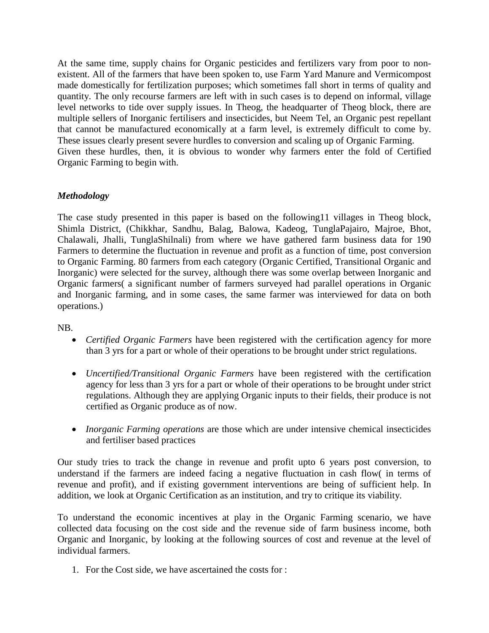At the same time, supply chains for Organic pesticides and fertilizers vary from poor to nonexistent. All of the farmers that have been spoken to, use Farm Yard Manure and Vermicompost made domestically for fertilization purposes; which sometimes fall short in terms of quality and quantity. The only recourse farmers are left with in such cases is to depend on informal, village level networks to tide over supply issues. In Theog, the headquarter of Theog block, there are multiple sellers of Inorganic fertilisers and insecticides, but Neem Tel, an Organic pest repellant that cannot be manufactured economically at a farm level, is extremely difficult to come by. These issues clearly present severe hurdles to conversion and scaling up of Organic Farming. Given these hurdles, then, it is obvious to wonder why farmers enter the fold of Certified Organic Farming to begin with.

### *Methodology*

The case study presented in this paper is based on the following11 villages in Theog block, Shimla District, (Chikkhar, Sandhu, Balag, Balowa, Kadeog, TunglaPajairo, Majroe, Bhot, Chalawali, Jhalli, TunglaShilnali) from where we have gathered farm business data for 190 Farmers to determine the fluctuation in revenue and profit as a function of time, post conversion to Organic Farming. 80 farmers from each category (Organic Certified, Transitional Organic and Inorganic) were selected for the survey, although there was some overlap between Inorganic and Organic farmers( a significant number of farmers surveyed had parallel operations in Organic and Inorganic farming, and in some cases, the same farmer was interviewed for data on both operations.)

### NB.

- *Certified Organic Farmers* have been registered with the certification agency for more than 3 yrs for a part or whole of their operations to be brought under strict regulations.
- *Uncertified/Transitional Organic Farmers* have been registered with the certification agency for less than 3 yrs for a part or whole of their operations to be brought under strict regulations. Although they are applying Organic inputs to their fields, their produce is not certified as Organic produce as of now.
- *Inorganic Farming operations* are those which are under intensive chemical insecticides and fertiliser based practices

Our study tries to track the change in revenue and profit upto 6 years post conversion, to understand if the farmers are indeed facing a negative fluctuation in cash flow( in terms of revenue and profit), and if existing government interventions are being of sufficient help. In addition, we look at Organic Certification as an institution, and try to critique its viability.

To understand the economic incentives at play in the Organic Farming scenario, we have collected data focusing on the cost side and the revenue side of farm business income, both Organic and Inorganic, by looking at the following sources of cost and revenue at the level of individual farmers.

1. For the Cost side, we have ascertained the costs for :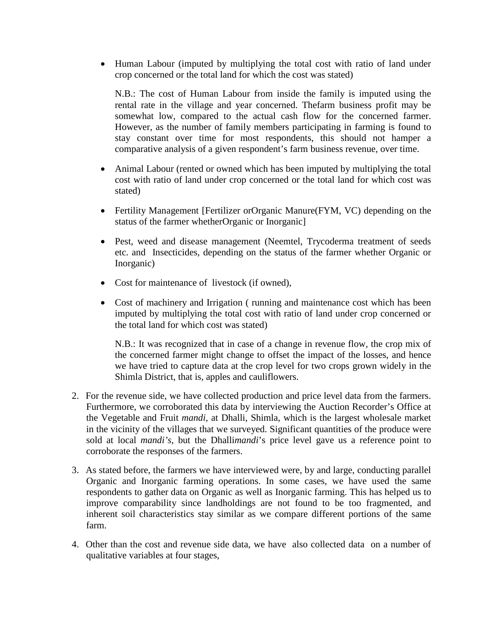• Human Labour (imputed by multiplying the total cost with ratio of land under crop concerned or the total land for which the cost was stated)

N.B.: The cost of Human Labour from inside the family is imputed using the rental rate in the village and year concerned. Thefarm business profit may be somewhat low, compared to the actual cash flow for the concerned farmer. However, as the number of family members participating in farming is found to stay constant over time for most respondents, this should not hamper a comparative analysis of a given respondent's farm business revenue, over time.

- Animal Labour (rented or owned which has been imputed by multiplying the total cost with ratio of land under crop concerned or the total land for which cost was stated)
- Fertility Management [Fertilizer orOrganic Manure(FYM, VC) depending on the status of the farmer whetherOrganic or Inorganic]
- Pest, weed and disease management (Neemtel, Trycoderma treatment of seeds etc. and Insecticides, depending on the status of the farmer whether Organic or Inorganic)
- Cost for maintenance of livestock (if owned),
- Cost of machinery and Irrigation ( running and maintenance cost which has been imputed by multiplying the total cost with ratio of land under crop concerned or the total land for which cost was stated)

N.B.: It was recognized that in case of a change in revenue flow, the crop mix of the concerned farmer might change to offset the impact of the losses, and hence we have tried to capture data at the crop level for two crops grown widely in the Shimla District, that is, apples and cauliflowers.

- 2. For the revenue side, we have collected production and price level data from the farmers. Furthermore, we corroborated this data by interviewing the Auction Recorder's Office at the Vegetable and Fruit *mandi,* at Dhalli, Shimla, which is the largest wholesale market in the vicinity of the villages that we surveyed. Significant quantities of the produce were sold at local *mandi's*, but the Dhalli*mandi*'s price level gave us a reference point to corroborate the responses of the farmers.
- 3. As stated before, the farmers we have interviewed were, by and large, conducting parallel Organic and Inorganic farming operations. In some cases, we have used the same respondents to gather data on Organic as well as Inorganic farming. This has helped us to improve comparability since landholdings are not found to be too fragmented, and inherent soil characteristics stay similar as we compare different portions of the same farm.
- 4. Other than the cost and revenue side data, we have also collected data on a number of qualitative variables at four stages,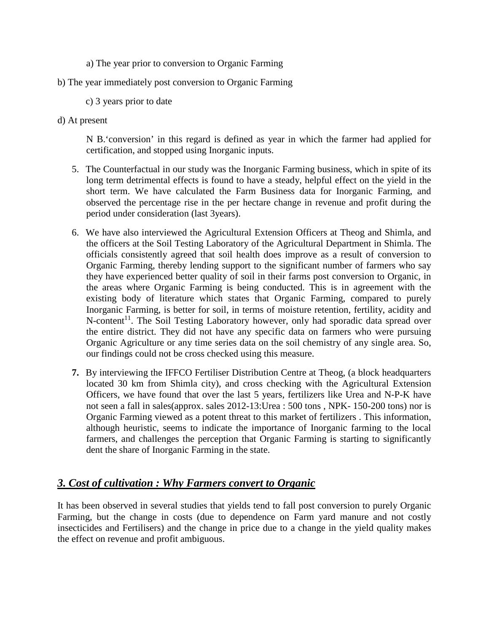- a) The year prior to conversion to Organic Farming
- b) The year immediately post conversion to Organic Farming
	- c) 3 years prior to date
- d) At present

N B.'conversion' in this regard is defined as year in which the farmer had applied for certification, and stopped using Inorganic inputs.

- 5. The Counterfactual in our study was the Inorganic Farming business, which in spite of its long term detrimental effects is found to have a steady, helpful effect on the yield in the short term. We have calculated the Farm Business data for Inorganic Farming, and observed the percentage rise in the per hectare change in revenue and profit during the period under consideration (last 3years).
- 6. We have also interviewed the Agricultural Extension Officers at Theog and Shimla, and the officers at the Soil Testing Laboratory of the Agricultural Department in Shimla. The officials consistently agreed that soil health does improve as a result of conversion to Organic Farming, thereby lending support to the significant number of farmers who say they have experienced better quality of soil in their farms post conversion to Organic, in the areas where Organic Farming is being conducted. This is in agreement with the existing body of literature which states that Organic Farming, compared to purely Inorganic Farming, is better for soil, in terms of moisture retention, fertility, acidity and N-content<sup>11</sup>. The Soil Testing Laboratory however, only had sporadic data spread over the entire district. They did not have any specific data on farmers who were pursuing Organic Agriculture or any time series data on the soil chemistry of any single area. So, our findings could not be cross checked using this measure.
- **7.** By interviewing the IFFCO Fertiliser Distribution Centre at Theog, (a block headquarters located 30 km from Shimla city), and cross checking with the Agricultural Extension Officers, we have found that over the last 5 years, fertilizers like Urea and N-P-K have not seen a fall in sales(approx. sales 2012-13:Urea : 500 tons , NPK- 150-200 tons) nor is Organic Farming viewed as a potent threat to this market of fertilizers . This information, although heuristic, seems to indicate the importance of Inorganic farming to the local farmers, and challenges the perception that Organic Farming is starting to significantly dent the share of Inorganic Farming in the state.

## *3. Cost of cultivation : Why Farmers convert to Organic*

It has been observed in several studies that yields tend to fall post conversion to purely Organic Farming, but the change in costs (due to dependence on Farm yard manure and not costly insecticides and Fertilisers) and the change in price due to a change in the yield quality makes the effect on revenue and profit ambiguous.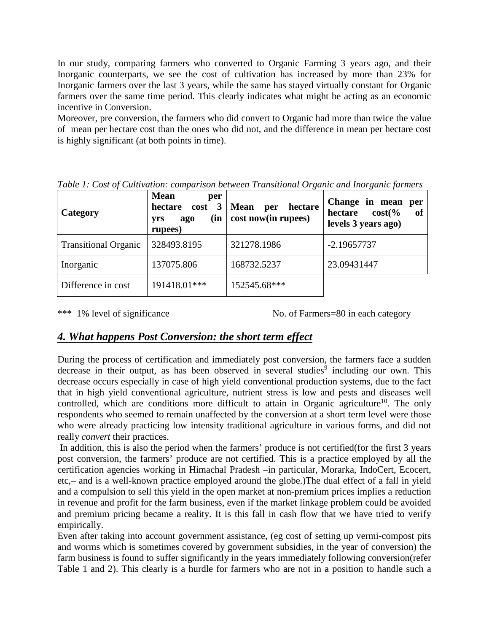In our study, comparing farmers who converted to Organic Farming 3 years ago, and their Inorganic counterparts, we see the cost of cultivation has increased by more than 23% for Inorganic farmers over the last 3 years, while the same has stayed virtually constant for Organic farmers over the same time period. This clearly indicates what might be acting as an economic incentive in Conversion.

Moreover, pre conversion, the farmers who did convert to Organic had more than twice the value of mean per hectare cost than the ones who did not, and the difference in mean per hectare cost is highly significant (at both points in time).

| Category                    | <b>Mean</b><br>per<br>hectare<br>$cost \quad 3$<br>(in<br>yrs<br>ago<br>rupees) | <b>Mean</b><br>hectare<br>per<br>cost now(in rupees) | Change in mean<br>per<br>$cost$ <sup><math>\%</math></sup><br>of<br>hectare<br>levels 3 years ago) |
|-----------------------------|---------------------------------------------------------------------------------|------------------------------------------------------|----------------------------------------------------------------------------------------------------|
| <b>Transitional Organic</b> | 328493.8195                                                                     | 321278.1986                                          | $-2.19657737$                                                                                      |
| Inorganic                   | 137075.806                                                                      | 168732.5237                                          | 23.09431447                                                                                        |
| Difference in cost          | 191418.01***                                                                    | 152545.68***                                         |                                                                                                    |

*Table 1: Cost of Cultivation: comparison between Transitional Organic and Inorganic farmers*

\*\*\* 1% level of significance No. of Farmers=80 in each category

## *4. What happens Post Conversion: the short term effect*

During the process of certification and immediately post conversion, the farmers face a sudden decrease in their output, as has been observed in several studies<sup>9</sup> including our own. This decrease occurs especially in case of high yield conventional production systems, due to the fact that in high yield conventional agriculture, nutrient stress is low and pests and diseases well controlled, which are conditions more difficult to attain in Organic agriculture<sup>10</sup>. The only respondents who seemed to remain unaffected by the conversion at a short term level were those who were already practicing low intensity traditional agriculture in various forms, and did not really *convert* their practices.

In addition, this is also the period when the farmers' produce is not certified(for the first 3 years post conversion, the farmers' produce are not certified. This is a practice employed by all the certification agencies working in Himachal Pradesh –in particular, Morarka, IndoCert, Ecocert, etc,– and is a well-known practice employed around the globe.)The dual effect of a fall in yield and a compulsion to sell this yield in the open market at non-premium prices implies a reduction in revenue and profit for the farm business, even if the market linkage problem could be avoided and premium pricing became a reality. It is this fall in cash flow that we have tried to verify empirically.

Even after taking into account government assistance, (eg cost of setting up vermi-compost pits and worms which is sometimes covered by government subsidies, in the year of conversion) the farm business is found to suffer significantly in the years immediately following conversion(refer Table 1 and 2). This clearly is a hurdle for farmers who are not in a position to handle such a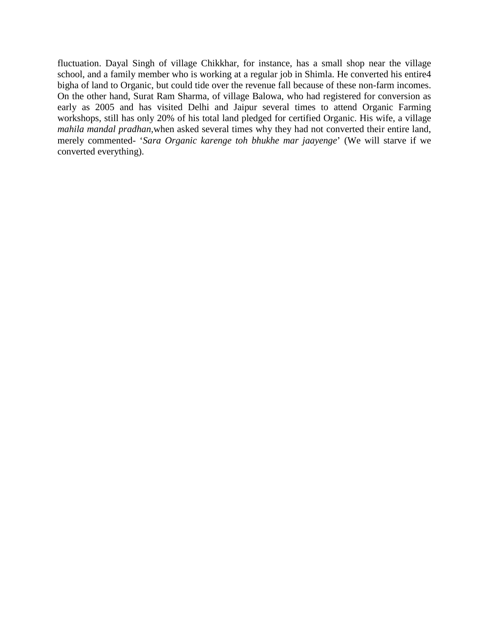fluctuation. Dayal Singh of village Chikkhar, for instance, has a small shop near the village school, and a family member who is working at a regular job in Shimla. He converted his entire4 bigha of land to Organic, but could tide over the revenue fall because of these non-farm incomes. On the other hand, Surat Ram Sharma, of village Balowa, who had registered for conversion as early as 2005 and has visited Delhi and Jaipur several times to attend Organic Farming workshops, still has only 20% of his total land pledged for certified Organic. His wife, a village *mahila mandal pradhan,*when asked several times why they had not converted their entire land, merely commented- '*Sara Organic karenge toh bhukhe mar jaayenge*' (We will starve if we converted everything).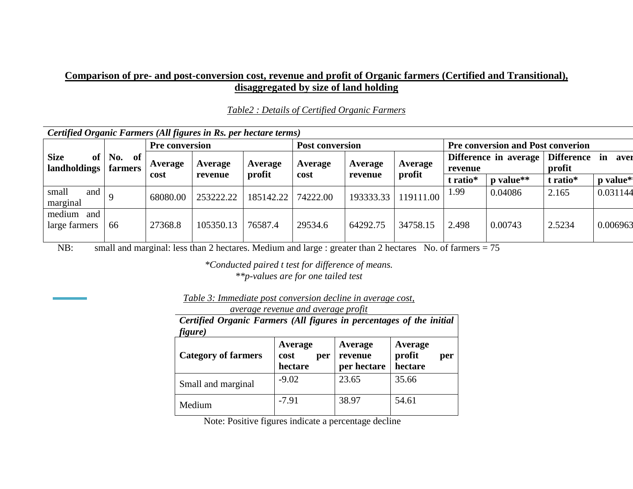### **Comparison of pre- and post-conversion cost, revenue and profit of Organic farmers (Certified and Transitional), disaggregated by size of land holding**

*Table2 : Details of Certified Organic Farmers*

| Certified Organic Farmers (All figures in Rs. per hectare terms) |                      |          |                        |           |          |                   |                                          |          |                       |                             |            |
|------------------------------------------------------------------|----------------------|----------|------------------------|-----------|----------|-------------------|------------------------------------------|----------|-----------------------|-----------------------------|------------|
| <b>Pre conversion</b>                                            |                      |          | <b>Post conversion</b> |           |          |                   | <b>Pre conversion and Post converion</b> |          |                       |                             |            |
| <b>Size</b><br>of<br>landholdings                                | No.<br>of<br>farmers | Average  | Average                | Average   | Average  | Average           | Average                                  | revenue  | Difference in average | <b>Difference</b><br>profit | in<br>aver |
|                                                                  |                      | cost     | revenue                | profit    | cost     | profit<br>revenue |                                          | t ratio* | p value**             | t ratio*                    | p value*   |
| small<br>and<br>marginal                                         |                      | 68080.00 | 253222.22              | 185142.22 | 74222.00 | 193333.33         | 119111.00                                | 1.99     | 0.04086               | 2.165                       | 0.031144   |
| medium<br>and<br>large farmers                                   | 66                   | 27368.8  | 105350.13              | 76587.4   | 29534.6  | 64292.75          | 34758.15                                 | 2.498    | 0.00743               | 2.5234                      | 0.006963   |

small and marginal: less than 2 hectares. Medium and large : greater than 2 hectares No. of farmers = 75 NB:

> *\*Conducted paired t test for difference of means. \*\*p-values are for one tailed test*

| Table 3: Immediate post conversion decline in average cost, |  |  |
|-------------------------------------------------------------|--|--|
|                                                             |  |  |

| average revenue and average profit                                              |                                   |                                   |                                     |  |  |  |  |  |  |
|---------------------------------------------------------------------------------|-----------------------------------|-----------------------------------|-------------------------------------|--|--|--|--|--|--|
| Certified Organic Farmers (All figures in percentages of the initial<br>figure) |                                   |                                   |                                     |  |  |  |  |  |  |
| <b>Category of farmers</b>                                                      | Average<br>cost<br>per<br>hectare | Average<br>revenue<br>per hectare | Average<br>profit<br>per<br>hectare |  |  |  |  |  |  |
| Small and marginal                                                              | $-9.02$                           | 23.65                             | 35.66                               |  |  |  |  |  |  |
| Medium                                                                          | $-7.91$                           | 38.97                             | 54.61                               |  |  |  |  |  |  |

Note: Positive figures indicate a percentage decline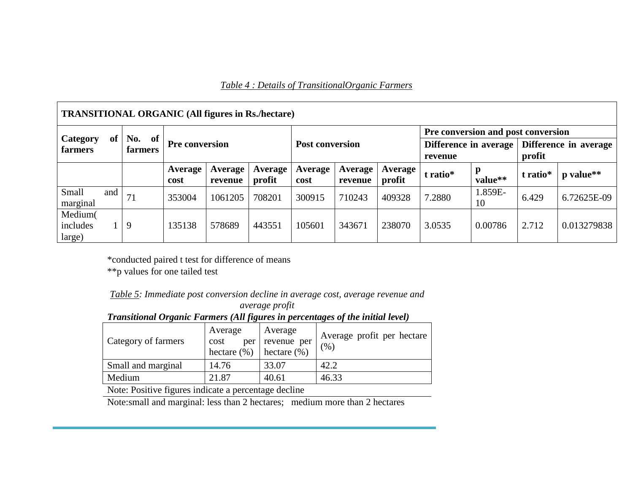| <b>TRANSITIONAL ORGANIC (All figures in Rs./hectare)</b> |                      |                 |                    |                   |                        |                    |                   |                                            |               |          |                       |  |
|----------------------------------------------------------|----------------------|-----------------|--------------------|-------------------|------------------------|--------------------|-------------------|--------------------------------------------|---------------|----------|-----------------------|--|
|                                                          |                      |                 |                    |                   |                        |                    |                   | Pre conversion and post conversion         |               |          |                       |  |
| <b>Category</b><br>of<br>farmers                         | No.<br>of<br>farmers | Pre conversion  |                    |                   | <b>Post conversion</b> |                    |                   | Difference in average<br>profit<br>revenue |               |          | Difference in average |  |
|                                                          |                      | Average<br>cost | Average<br>revenue | Average<br>profit | Average<br>cost        | Average<br>revenue | Average<br>profit | t ratio*                                   | p<br>value**  | t ratio* | p value**             |  |
| Small<br>and<br>marginal                                 | 71                   | 353004          | 1061205            | 708201            | 300915                 | 710243             | 409328            | 7.2880                                     | 1.859E-<br>10 | 6.429    | 6.72625E-09           |  |
| Medium(<br>includes<br>large)                            | 9                    | 135138          | 578689             | 443551            | 105601                 | 343671             | 238070            | 3.0535                                     | 0.00786       | 2.712    | 0.013279838           |  |

\*conducted paired t test for difference of means

\*\*p values for one tailed test

| Table 5: Immediate post conversion decline in average cost, average revenue and |  |  |  |
|---------------------------------------------------------------------------------|--|--|--|
|---------------------------------------------------------------------------------|--|--|--|

*average profit Transitional Organic Farmers (All figures in percentages of the initial level)*

| Category of farmers | Average<br>cost<br>per<br>hectare $(\% )$ | Average<br>revenue per<br>$ $ hectare $(\% )$ | Average profit per hectare<br>(% ) |
|---------------------|-------------------------------------------|-----------------------------------------------|------------------------------------|
| Small and marginal  | 14.76                                     | 33.07                                         | 42.2                               |
| Medium              | 21.87                                     | 40.61                                         | 46.33                              |

Note: Positive figures indicate a percentage decline

Note:small and marginal: less than 2 hectares; medium more than 2 hectares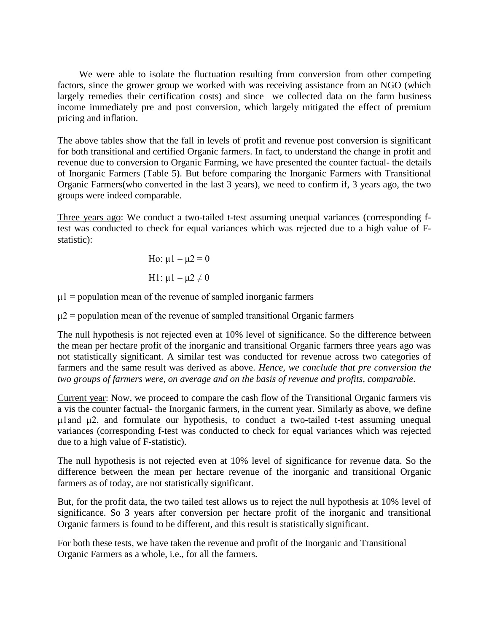We were able to isolate the fluctuation resulting from conversion from other competing factors, since the grower group we worked with was receiving assistance from an NGO (which largely remedies their certification costs) and since we collected data on the farm business income immediately pre and post conversion, which largely mitigated the effect of premium pricing and inflation.

The above tables show that the fall in levels of profit and revenue post conversion is significant for both transitional and certified Organic farmers. In fact, to understand the change in profit and revenue due to conversion to Organic Farming, we have presented the counter factual- the details of Inorganic Farmers (Table 5). But before comparing the Inorganic Farmers with Transitional Organic Farmers(who converted in the last 3 years), we need to confirm if, 3 years ago, the two groups were indeed comparable.

Three years ago: We conduct a two-tailed t-test assuming unequal variances (corresponding ftest was conducted to check for equal variances which was rejected due to a high value of Fstatistic):

> Ho:  $\mu$ 1 –  $\mu$ 2 = 0 H1:  $\mu$ 1 –  $\mu$ 2  $\neq$  0

 $\mu$ 1 = population mean of the revenue of sampled inorganic farmers

 $\mu$ 2 = population mean of the revenue of sampled transitional Organic farmers

The null hypothesis is not rejected even at 10% level of significance. So the difference between the mean per hectare profit of the inorganic and transitional Organic farmers three years ago was not statistically significant. A similar test was conducted for revenue across two categories of farmers and the same result was derived as above. *Hence, we conclude that pre conversion the two groups of farmers were, on average and on the basis of revenue and profits, comparable*.

Current year: Now, we proceed to compare the cash flow of the Transitional Organic farmers vis a vis the counter factual- the Inorganic farmers, in the current year. Similarly as above, we define μ1and μ2, and formulate our hypothesis, to conduct a two-tailed t-test assuming unequal variances (corresponding f-test was conducted to check for equal variances which was rejected due to a high value of F-statistic).

The null hypothesis is not rejected even at 10% level of significance for revenue data. So the difference between the mean per hectare revenue of the inorganic and transitional Organic farmers as of today, are not statistically significant.

But, for the profit data, the two tailed test allows us to reject the null hypothesis at 10% level of significance. So 3 years after conversion per hectare profit of the inorganic and transitional Organic farmers is found to be different, and this result is statistically significant.

For both these tests, we have taken the revenue and profit of the Inorganic and Transitional Organic Farmers as a whole, i.e., for all the farmers.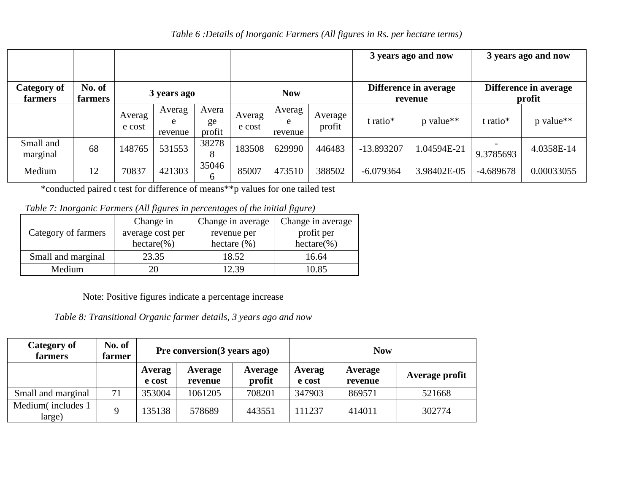### *Table 6 :Details of Inorganic Farmers (All figures in Rs. per hectare terms)*

|                               |                   |                  |                        |                       |                  |                        | 3 years ago and now |             | 3 years ago and now |             |            |  |                                  |                                 |  |
|-------------------------------|-------------------|------------------|------------------------|-----------------------|------------------|------------------------|---------------------|-------------|---------------------|-------------|------------|--|----------------------------------|---------------------------------|--|
| <b>Category of</b><br>farmers | No. of<br>farmers |                  | 3 years ago            |                       | <b>Now</b>       |                        |                     |             |                     |             |            |  | Difference in average<br>revenue | Difference in average<br>profit |  |
|                               |                   | Averag<br>e cost | Averag<br>e<br>revenue | Avera<br>ge<br>profit | Averag<br>e cost | Averag<br>e<br>revenue | Average<br>profit   | t ratio*    | p value**           | t ratio*    | p value**  |  |                                  |                                 |  |
| Small and<br>marginal         | 68                | 148765           | 531553                 | 38278<br>8            | 183508           | 629990                 | 446483              | -13.893207  | 1.04594E-21         | 9.3785693   | 4.0358E-14 |  |                                  |                                 |  |
| Medium                        | 12                | 70837            | 421303                 | 35046<br>6            | 85007            | 473510                 | 388502              | $-6.079364$ | 3.98402E-05         | $-4.689678$ | 0.00033055 |  |                                  |                                 |  |

\*conducted paired t test for difference of means\*\*p values for one tailed test

*Table 7: Inorganic Farmers (All figures in percentages of the initial figure)*

|                     | Change in        | Change in average | Change in average |  |
|---------------------|------------------|-------------------|-------------------|--|
| Category of farmers | average cost per | revenue per       | profit per        |  |
|                     | $hectare(\%)$    | hectare $(\% )$   | $hectare(\%)$     |  |
| Small and marginal  | 23.35            | 18.52             | 16.64             |  |
| Medium              |                  | 2.39              | 10.85             |  |

Note: Positive figures indicate a percentage increase

*Table 8: Transitional Organic farmer details, 3 years ago and now*

| <b>Category of</b><br>farmers | No. of<br>farmer | Pre conversion (3 years ago) |                    |                   |                  | <b>Now</b>         |                |
|-------------------------------|------------------|------------------------------|--------------------|-------------------|------------------|--------------------|----------------|
|                               |                  | Averag<br>e cost             | Average<br>revenue | Average<br>profit | Averag<br>e cost | Average<br>revenue | Average profit |
| Small and marginal            | 71               | 353004                       | 1061205            | 708201            | 347903           | 869571             | 521668         |
| Medium(includes 1<br>large)   | $\mathbf Q$      | 135138                       | 578689             | 443551            | 111237           | 414011             | 302774         |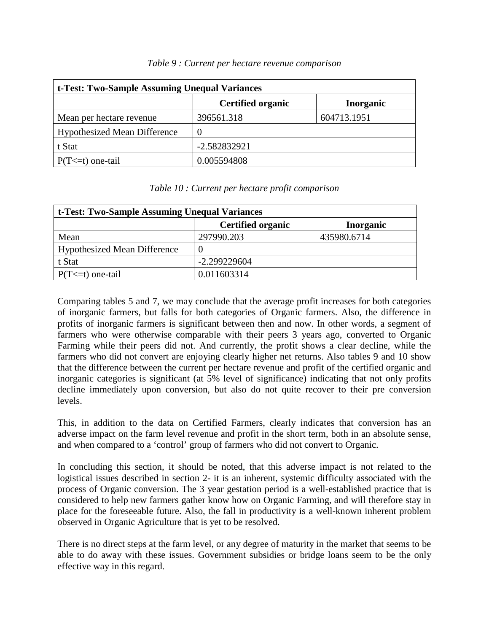| t-Test: Two-Sample Assuming Unequal Variances |                          |                  |  |  |  |  |  |  |
|-----------------------------------------------|--------------------------|------------------|--|--|--|--|--|--|
|                                               | <b>Certified organic</b> | <b>Inorganic</b> |  |  |  |  |  |  |
| Mean per hectare revenue                      | 396561.318               | 604713.1951      |  |  |  |  |  |  |
| <b>Hypothesized Mean Difference</b>           | $\overline{0}$           |                  |  |  |  |  |  |  |
| t Stat                                        | -2.582832921             |                  |  |  |  |  |  |  |
| $P(T \le t)$ one-tail                         | 0.005594808              |                  |  |  |  |  |  |  |

#### *Table 9 : Current per hectare revenue comparison*

### *Table 10 : Current per hectare profit comparison*

| t-Test: Two-Sample Assuming Unequal Variances |                          |                  |  |  |  |  |  |  |
|-----------------------------------------------|--------------------------|------------------|--|--|--|--|--|--|
|                                               | <b>Certified organic</b> | <b>Inorganic</b> |  |  |  |  |  |  |
| Mean                                          | 297990.203               | 435980.6714      |  |  |  |  |  |  |
| Hypothesized Mean Difference                  | 0                        |                  |  |  |  |  |  |  |
| t Stat                                        | $-2.299229604$           |                  |  |  |  |  |  |  |
| $P(T \le t)$ one-tail                         | 0.011603314              |                  |  |  |  |  |  |  |

Comparing tables 5 and 7, we may conclude that the average profit increases for both categories of inorganic farmers, but falls for both categories of Organic farmers. Also, the difference in profits of inorganic farmers is significant between then and now. In other words, a segment of farmers who were otherwise comparable with their peers 3 years ago, converted to Organic Farming while their peers did not. And currently, the profit shows a clear decline, while the farmers who did not convert are enjoying clearly higher net returns. Also tables 9 and 10 show that the difference between the current per hectare revenue and profit of the certified organic and inorganic categories is significant (at 5% level of significance) indicating that not only profits decline immediately upon conversion, but also do not quite recover to their pre conversion levels.

This, in addition to the data on Certified Farmers, clearly indicates that conversion has an adverse impact on the farm level revenue and profit in the short term, both in an absolute sense, and when compared to a 'control' group of farmers who did not convert to Organic.

In concluding this section, it should be noted, that this adverse impact is not related to the logistical issues described in section 2- it is an inherent, systemic difficulty associated with the process of Organic conversion. The 3 year gestation period is a well-established practice that is considered to help new farmers gather know how on Organic Farming, and will therefore stay in place for the foreseeable future. Also, the fall in productivity is a well-known inherent problem observed in Organic Agriculture that is yet to be resolved.

There is no direct steps at the farm level, or any degree of maturity in the market that seems to be able to do away with these issues. Government subsidies or bridge loans seem to be the only effective way in this regard.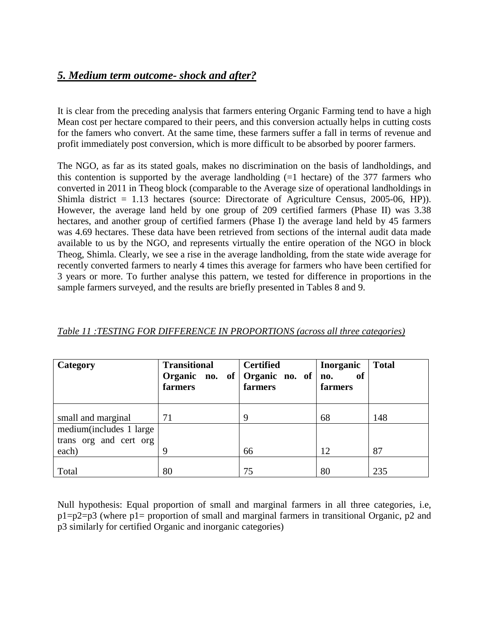## *5. Medium term outcome- shock and after?*

It is clear from the preceding analysis that farmers entering Organic Farming tend to have a high Mean cost per hectare compared to their peers, and this conversion actually helps in cutting costs for the famers who convert. At the same time, these farmers suffer a fall in terms of revenue and profit immediately post conversion, which is more difficult to be absorbed by poorer farmers.

The NGO, as far as its stated goals, makes no discrimination on the basis of landholdings, and this contention is supported by the average landholding  $(=1 \text{ hectare})$  of the 377 farmers who converted in 2011 in Theog block (comparable to the Average size of operational landholdings in Shimla district = 1.13 hectares (source: Directorate of Agriculture Census, 2005-06, HP)). However, the average land held by one group of 209 certified farmers (Phase II) was 3.38 hectares, and another group of certified farmers (Phase I) the average land held by 45 farmers was 4.69 hectares. These data have been retrieved from sections of the internal audit data made available to us by the NGO, and represents virtually the entire operation of the NGO in block Theog, Shimla. Clearly, we see a rise in the average landholding, from the state wide average for recently converted farmers to nearly 4 times this average for farmers who have been certified for 3 years or more. To further analyse this pattern, we tested for difference in proportions in the sample farmers surveyed, and the results are briefly presented in Tables 8 and 9.

| Category                                          | <b>Transitional</b><br>Organic no. of Organic no. of<br>farmers | <b>Certified</b><br>farmers | <b>Inorganic</b><br>of<br>no.<br>farmers | <b>Total</b> |
|---------------------------------------------------|-----------------------------------------------------------------|-----------------------------|------------------------------------------|--------------|
| small and marginal                                | 71                                                              | 9                           | 68                                       | 148          |
| medium(includes 1 large<br>trans org and cert org |                                                                 |                             |                                          |              |
| each)                                             | Q                                                               | 66                          | 12                                       | 87           |
| Total                                             | 80                                                              | 75                          | 80                                       | 235          |

| Table 11 :TESTING FOR DIFFERENCE IN PROPORTIONS (across all three categories) |  |
|-------------------------------------------------------------------------------|--|
|-------------------------------------------------------------------------------|--|

Null hypothesis: Equal proportion of small and marginal farmers in all three categories, i.e, p1=p2=p3 (where p1= proportion of small and marginal farmers in transitional Organic, p2 and p3 similarly for certified Organic and inorganic categories)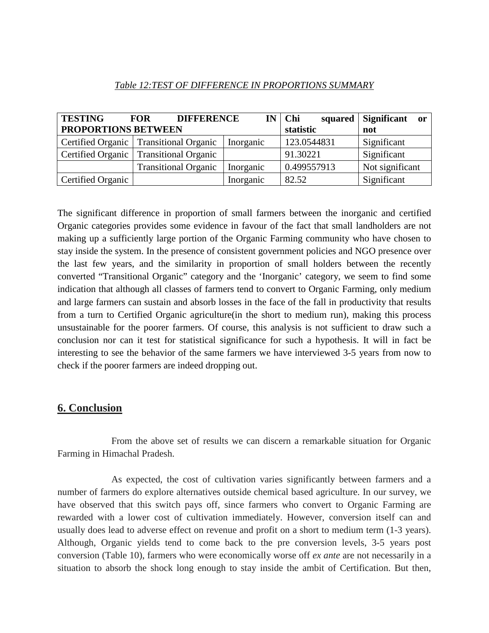| <b>TESTING</b>      | <b>FOR</b>                               | <b>DIFFERENCE</b> | $IN$ Chi<br>squared | Significant or  |
|---------------------|------------------------------------------|-------------------|---------------------|-----------------|
| PROPORTIONS BETWEEN |                                          |                   | statistic           | not             |
|                     | Certified Organic   Transitional Organic | Inorganic         | 123.0544831         | Significant     |
| Certified Organic   | <b>Transitional Organic</b>              |                   | 91.30221            | Significant     |
|                     | <b>Transitional Organic</b>              | Inorganic         | 0.499557913         | Not significant |
| Certified Organic   |                                          | Inorganic         | 82.52               | Significant     |

### *Table 12:TEST OF DIFFERENCE IN PROPORTIONS SUMMARY*

The significant difference in proportion of small farmers between the inorganic and certified Organic categories provides some evidence in favour of the fact that small landholders are not making up a sufficiently large portion of the Organic Farming community who have chosen to stay inside the system. In the presence of consistent government policies and NGO presence over the last few years, and the similarity in proportion of small holders between the recently converted "Transitional Organic" category and the 'Inorganic' category, we seem to find some indication that although all classes of farmers tend to convert to Organic Farming, only medium and large farmers can sustain and absorb losses in the face of the fall in productivity that results from a turn to Certified Organic agriculture(in the short to medium run), making this process unsustainable for the poorer farmers. Of course, this analysis is not sufficient to draw such a conclusion nor can it test for statistical significance for such a hypothesis. It will in fact be interesting to see the behavior of the same farmers we have interviewed 3-5 years from now to check if the poorer farmers are indeed dropping out.

## **6. Conclusion**

From the above set of results we can discern a remarkable situation for Organic Farming in Himachal Pradesh.

As expected, the cost of cultivation varies significantly between farmers and a number of farmers do explore alternatives outside chemical based agriculture. In our survey, we have observed that this switch pays off, since farmers who convert to Organic Farming are rewarded with a lower cost of cultivation immediately. However, conversion itself can and usually does lead to adverse effect on revenue and profit on a short to medium term (1-3 years). Although, Organic yields tend to come back to the pre conversion levels, 3-5 years post conversion (Table 10), farmers who were economically worse off *ex ante* are not necessarily in a situation to absorb the shock long enough to stay inside the ambit of Certification. But then,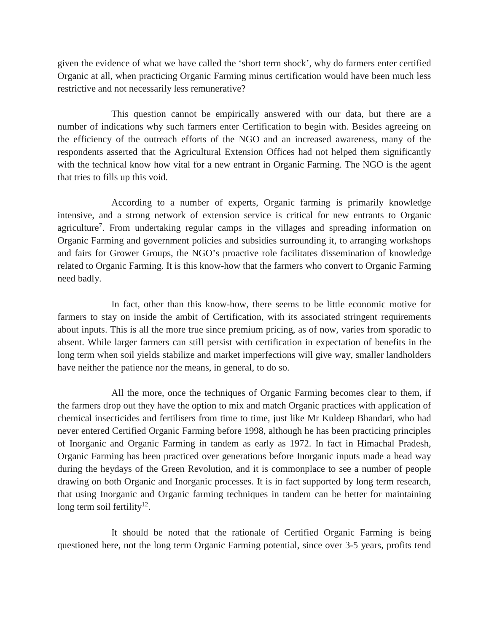given the evidence of what we have called the 'short term shock', why do farmers enter certified Organic at all, when practicing Organic Farming minus certification would have been much less restrictive and not necessarily less remunerative?

This question cannot be empirically answered with our data, but there are a number of indications why such farmers enter Certification to begin with. Besides agreeing on the efficiency of the outreach efforts of the NGO and an increased awareness, many of the respondents asserted that the Agricultural Extension Offices had not helped them significantly with the technical know how vital for a new entrant in Organic Farming. The NGO is the agent that tries to fills up this void.

According to a number of experts, Organic farming is primarily knowledge intensive, and a strong network of extension service is critical for new entrants to Organic agriculture<sup>7</sup>. From undertaking regular camps in the villages and spreading information on Organic Farming and government policies and subsidies surrounding it, to arranging workshops and fairs for Grower Groups, the NGO's proactive role facilitates dissemination of knowledge related to Organic Farming. It is this know-how that the farmers who convert to Organic Farming need badly.

In fact, other than this know-how, there seems to be little economic motive for farmers to stay on inside the ambit of Certification, with its associated stringent requirements about inputs. This is all the more true since premium pricing, as of now, varies from sporadic to absent. While larger farmers can still persist with certification in expectation of benefits in the long term when soil yields stabilize and market imperfections will give way, smaller landholders have neither the patience nor the means, in general, to do so.

All the more, once the techniques of Organic Farming becomes clear to them, if the farmers drop out they have the option to mix and match Organic practices with application of chemical insecticides and fertilisers from time to time, just like Mr Kuldeep Bhandari, who had never entered Certified Organic Farming before 1998, although he has been practicing principles of Inorganic and Organic Farming in tandem as early as 1972. In fact in Himachal Pradesh, Organic Farming has been practiced over generations before Inorganic inputs made a head way during the heydays of the Green Revolution, and it is commonplace to see a number of people drawing on both Organic and Inorganic processes. It is in fact supported by long term research, that using Inorganic and Organic farming techniques in tandem can be better for maintaining long term soil fertility<sup>12</sup>.

It should be noted that the rationale of Certified Organic Farming is being questioned here, not the long term Organic Farming potential, since over 3-5 years, profits tend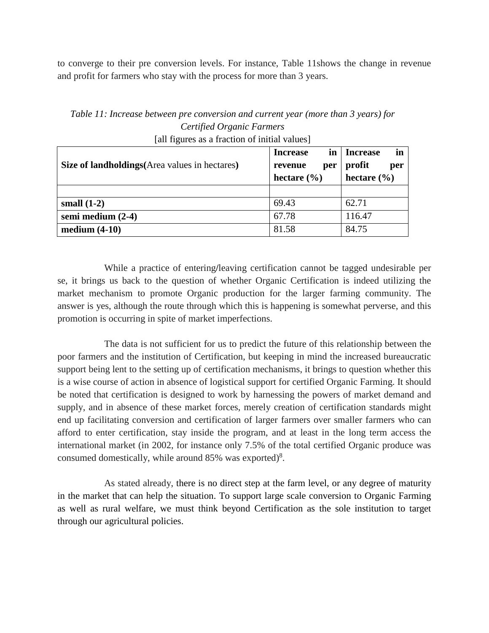to converge to their pre conversion levels. For instance, Table 11shows the change in revenue and profit for farmers who stay with the process for more than 3 years.

| $\alpha$ an ingures as a maction of finitial values   |                       |                       |  |  |  |  |
|-------------------------------------------------------|-----------------------|-----------------------|--|--|--|--|
|                                                       | <b>Increase</b><br>in | in<br><b>Increase</b> |  |  |  |  |
| <b>Size of landholdings</b> (Area values in hectares) | revenue<br>per        | profit<br>per         |  |  |  |  |
|                                                       | hectare $(\% )$       | hectare $(\% )$       |  |  |  |  |
|                                                       |                       |                       |  |  |  |  |
| small $(1-2)$                                         | 69.43                 | 62.71                 |  |  |  |  |
| semi medium (2-4)                                     | 67.78                 | 116.47                |  |  |  |  |
| medium $(4-10)$                                       | 81.58                 | 84.75                 |  |  |  |  |

*Table 11: Increase between pre conversion and current year (more than 3 years) for Certified Organic Farmers* [all figures as a fraction of initial values]

While a practice of entering**/**leaving certification cannot be tagged undesirable per se, it brings us back to the question of whether Organic Certification is indeed utilizing the market mechanism to promote Organic production for the larger farming community. The answer is yes, although the route through which this is happening is somewhat perverse, and this promotion is occurring in spite of market imperfections.

The data is not sufficient for us to predict the future of this relationship between the poor farmers and the institution of Certification, but keeping in mind the increased bureaucratic support being lent to the setting up of certification mechanisms, it brings to question whether this is a wise course of action in absence of logistical support for certified Organic Farming. It should be noted that certification is designed to work by harnessing the powers of market demand and supply, and in absence of these market forces, merely creation of certification standards might end up facilitating conversion and certification of larger farmers over smaller farmers who can afford to enter certification, stay inside the program, and at least in the long term access the international market (in 2002, for instance only 7.5% of the total certified Organic produce was consumed domestically, while around 85% was exported)<sup>8</sup>.

As stated already, there is no direct step at the farm level, or any degree of maturity in the market that can help the situation. To support large scale conversion to Organic Farming as well as rural welfare, we must think beyond Certification as the sole institution to target through our agricultural policies.